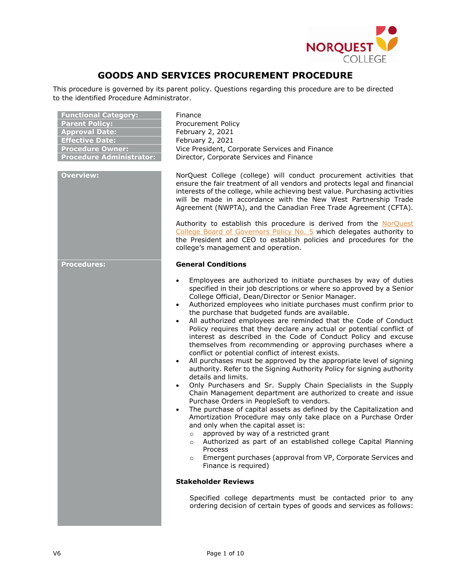

# **GOODS AND SERVICES PROCUREMENT PROCEDURE**

This procedure is governed by its parent policy. Questions regarding this procedure are to be directed to the identified Procedure Administrator.

| <b>Functional Category:</b><br><b>Parent Policy:</b><br><b>Approval Date:</b><br><b>Effective Date:</b><br><b>Procedure Owner:</b><br><b>Procedure Administrator:</b> | Finance<br>Procurement Policy<br>February 2, 2021<br>February 2, 2021<br>Vice President, Corporate Services and Finance<br>Director, Corporate Services and Finance                                                                                                                                                                                                                                                                                                                                                                                                                                                                                                                                                                                                                                                                                                                                                                                                                                                                                                                                                                                                                                                                                                                                                                                                                                                                                                                                                         |  |
|-----------------------------------------------------------------------------------------------------------------------------------------------------------------------|-----------------------------------------------------------------------------------------------------------------------------------------------------------------------------------------------------------------------------------------------------------------------------------------------------------------------------------------------------------------------------------------------------------------------------------------------------------------------------------------------------------------------------------------------------------------------------------------------------------------------------------------------------------------------------------------------------------------------------------------------------------------------------------------------------------------------------------------------------------------------------------------------------------------------------------------------------------------------------------------------------------------------------------------------------------------------------------------------------------------------------------------------------------------------------------------------------------------------------------------------------------------------------------------------------------------------------------------------------------------------------------------------------------------------------------------------------------------------------------------------------------------------------|--|
| <b>Overview:</b>                                                                                                                                                      | NorQuest College (college) will conduct procurement activities that<br>ensure the fair treatment of all vendors and protects legal and financial<br>interests of the college, while achieving best value. Purchasing activities<br>will be made in accordance with the New West Partnership Trade<br>Agreement (NWPTA), and the Canadian Free Trade Agreement (CFTA).<br>Authority to establish this procedure is derived from the NorQuest<br>College Board of Governors Policy No. 5 which delegates authority to<br>the President and CEO to establish policies and procedures for the<br>college's management and operation.                                                                                                                                                                                                                                                                                                                                                                                                                                                                                                                                                                                                                                                                                                                                                                                                                                                                                            |  |
| <b>Procedures:</b>                                                                                                                                                    | <b>General Conditions</b>                                                                                                                                                                                                                                                                                                                                                                                                                                                                                                                                                                                                                                                                                                                                                                                                                                                                                                                                                                                                                                                                                                                                                                                                                                                                                                                                                                                                                                                                                                   |  |
|                                                                                                                                                                       | Employees are authorized to initiate purchases by way of duties<br>$\bullet$<br>specified in their job descriptions or where so approved by a Senior<br>College Official, Dean/Director or Senior Manager.<br>Authorized employees who initiate purchases must confirm prior to<br>$\bullet$<br>the purchase that budgeted funds are available.<br>All authorized employees are reminded that the Code of Conduct<br>$\bullet$<br>Policy requires that they declare any actual or potential conflict of<br>interest as described in the Code of Conduct Policy and excuse<br>themselves from recommending or approving purchases where a<br>conflict or potential conflict of interest exists.<br>All purchases must be approved by the appropriate level of signing<br>$\bullet$<br>authority. Refer to the Signing Authority Policy for signing authority<br>details and limits.<br>Only Purchasers and Sr. Supply Chain Specialists in the Supply<br>$\bullet$<br>Chain Management department are authorized to create and issue<br>Purchase Orders in PeopleSoft to vendors.<br>The purchase of capital assets as defined by the Capitalization and<br>$\bullet$<br>Amortization Procedure may only take place on a Purchase Order<br>and only when the capital asset is:<br>approved by way of a restricted grant<br>$\circ$<br>Authorized as part of an established college Capital Planning<br>$\circ$<br>Process<br>Emergent purchases (approval from VP, Corporate Services and<br>$\circ$<br>Finance is required) |  |
|                                                                                                                                                                       | <b>Stakeholder Reviews</b>                                                                                                                                                                                                                                                                                                                                                                                                                                                                                                                                                                                                                                                                                                                                                                                                                                                                                                                                                                                                                                                                                                                                                                                                                                                                                                                                                                                                                                                                                                  |  |
|                                                                                                                                                                       | Specified college departments must be contacted prior to any<br>ordering decision of certain types of goods and services as follows:                                                                                                                                                                                                                                                                                                                                                                                                                                                                                                                                                                                                                                                                                                                                                                                                                                                                                                                                                                                                                                                                                                                                                                                                                                                                                                                                                                                        |  |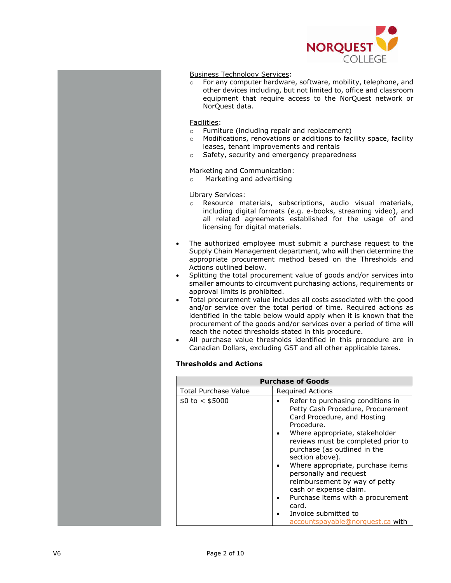

# Business Technology Services:

o For any computer hardware, software, mobility, telephone, and other devices including, but not limited to, office and classroom equipment that require access to the NorQuest network or NorQuest data.

# Facilities:

- o Furniture (including repair and replacement)
- o Modifications, renovations or additions to facility space, facility leases, tenant improvements and rentals
- o Safety, security and emergency preparedness

# Marketing and Communication:

o Marketing and advertising

### Library Services:

- o Resource materials, subscriptions, audio visual materials, including digital formats (e.g. e-books, streaming video), and all related agreements established for the usage of and licensing for digital materials.
- The authorized employee must submit a purchase request to the Supply Chain Management department, who will then determine the appropriate procurement method based on the Thresholds and Actions outlined below.
- Splitting the total procurement value of goods and/or services into smaller amounts to circumvent purchasing actions, requirements or approval limits is prohibited.
- Total procurement value includes all costs associated with the good and/or service over the total period of time. Required actions as identified in the table below would apply when it is known that the procurement of the goods and/or services over a period of time will reach the noted thresholds stated in this procedure.
- All purchase value thresholds identified in this procedure are in Canadian Dollars, excluding GST and all other applicable taxes.

# **Thresholds and Actions**

|                             | <b>Purchase of Goods</b>                                                                                                                                                                                                                                                                                                                                                                                                                                                           |
|-----------------------------|------------------------------------------------------------------------------------------------------------------------------------------------------------------------------------------------------------------------------------------------------------------------------------------------------------------------------------------------------------------------------------------------------------------------------------------------------------------------------------|
| <b>Total Purchase Value</b> | Required Actions                                                                                                                                                                                                                                                                                                                                                                                                                                                                   |
| $$0 \text{ to} < $5000$     | Refer to purchasing conditions in<br>Petty Cash Procedure, Procurement<br>Card Procedure, and Hosting<br>Procedure.<br>Where appropriate, stakeholder<br>reviews must be completed prior to<br>purchase (as outlined in the<br>section above).<br>Where appropriate, purchase items<br>personally and request<br>reimbursement by way of petty<br>cash or expense claim.<br>Purchase items with a procurement<br>card.<br>Invoice submitted to<br>accountspayable@norquest.ca with |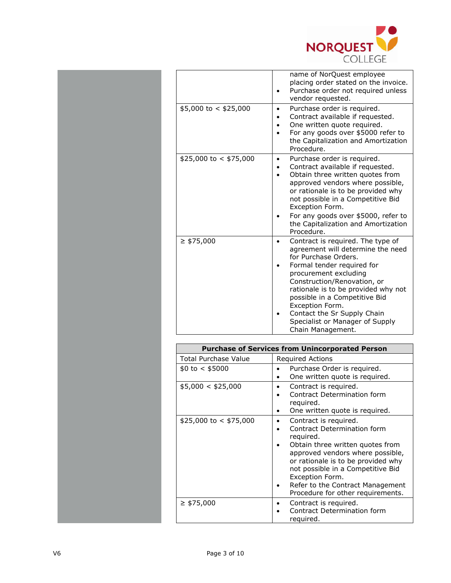

|                         | name of NorQuest employee<br>placing order stated on the invoice.<br>Purchase order not required unless<br>vendor requested.                                                                                                                                                                                                                                           |
|-------------------------|------------------------------------------------------------------------------------------------------------------------------------------------------------------------------------------------------------------------------------------------------------------------------------------------------------------------------------------------------------------------|
| $$5,000$ to < \$25,000  | Purchase order is required.<br>Contract available if requested.<br>One written quote required.<br>For any goods over \$5000 refer to<br>the Capitalization and Amortization<br>Procedure.                                                                                                                                                                              |
| $$25,000$ to < \$75,000 | Purchase order is required.<br>Contract available if requested.<br>Obtain three written quotes from<br>approved vendors where possible,<br>or rationale is to be provided why<br>not possible in a Competitive Bid<br>Exception Form.<br>For any goods over \$5000, refer to<br>the Capitalization and Amortization<br>Procedure.                                      |
| $\geq$ \$75,000         | Contract is required. The type of<br>agreement will determine the need<br>for Purchase Orders.<br>Formal tender required for<br>procurement excluding<br>Construction/Renovation, or<br>rationale is to be provided why not<br>possible in a Competitive Bid<br>Exception Form.<br>Contact the Sr Supply Chain<br>Specialist or Manager of Supply<br>Chain Management. |

| <b>Purchase of Services from Unincorporated Person</b> |                                                                                                                                                                                                                                                                                                                  |  |
|--------------------------------------------------------|------------------------------------------------------------------------------------------------------------------------------------------------------------------------------------------------------------------------------------------------------------------------------------------------------------------|--|
| <b>Total Purchase Value</b>                            | <b>Required Actions</b>                                                                                                                                                                                                                                                                                          |  |
| \$0 to < \$5000                                        | Purchase Order is required.<br>One written quote is required.                                                                                                                                                                                                                                                    |  |
| \$5,000 < \$25,000                                     | Contract is required.<br>Contract Determination form<br>reguired.<br>One written quote is required.                                                                                                                                                                                                              |  |
| $$25,000$ to < \$75,000                                | Contract is required.<br>Contract Determination form<br>reguired.<br>Obtain three written quotes from<br>approved vendors where possible,<br>or rationale is to be provided why<br>not possible in a Competitive Bid<br>Exception Form.<br>Refer to the Contract Management<br>Procedure for other requirements. |  |
| $\geq$ \$75,000                                        | Contract is required.<br>Contract Determination form<br>required.                                                                                                                                                                                                                                                |  |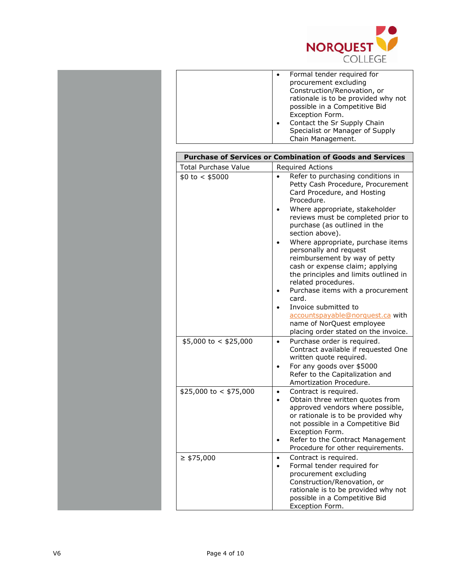

|                             | Formal tender required for<br>procurement excluding<br>Construction/Renovation, or<br>rationale is to be provided why not<br>possible in a Competitive Bid<br>Exception Form.<br>Contact the Sr Supply Chain<br>Specialist or Manager of Supply<br>Chain Management.                                                                                                                                                                                                                                                                                        |
|-----------------------------|-------------------------------------------------------------------------------------------------------------------------------------------------------------------------------------------------------------------------------------------------------------------------------------------------------------------------------------------------------------------------------------------------------------------------------------------------------------------------------------------------------------------------------------------------------------|
|                             | <b>Purchase of Services or Combination of Goods and Services</b>                                                                                                                                                                                                                                                                                                                                                                                                                                                                                            |
| <b>Total Purchase Value</b> | <b>Required Actions</b>                                                                                                                                                                                                                                                                                                                                                                                                                                                                                                                                     |
| \$0 to < \$5000             | Refer to purchasing conditions in<br>Petty Cash Procedure, Procurement<br>Card Procedure, and Hosting<br>Procedure.<br>Where appropriate, stakeholder<br>reviews must be completed prior to<br>purchase (as outlined in the<br>section above).<br>Where appropriate, purchase items<br>personally and request<br>reimbursement by way of petty<br>cash or expense claim; applying<br>the principles and limits outlined in<br>related procedures.<br>Purchase items with a procurement<br>card.<br>Invoice submitted to<br>accountspayable@norquest.ca with |
|                             | name of NorQuest employee<br>placing order stated on the invoice.                                                                                                                                                                                                                                                                                                                                                                                                                                                                                           |
| $$5,000$ to < \$25,000      | Purchase order is required.<br>$\bullet$<br>Contract available if requested One<br>written quote required.<br>For any goods over \$5000<br>Refer to the Capitalization and<br>Amortization Procedure.                                                                                                                                                                                                                                                                                                                                                       |
| $$25,000$ to < \$75,000     | Contract is required.<br>$\bullet$<br>Obtain three written quotes from<br>approved vendors where possible,<br>or rationale is to be provided why<br>not possible in a Competitive Bid<br>Exception Form.<br>Refer to the Contract Management<br>Procedure for other requirements.                                                                                                                                                                                                                                                                           |
| $\geq$ \$75,000             | Contract is required.<br>$\bullet$<br>Formal tender required for<br>procurement excluding<br>Construction/Renovation, or<br>rationale is to be provided why not<br>possible in a Competitive Bid<br>Exception Form.                                                                                                                                                                                                                                                                                                                                         |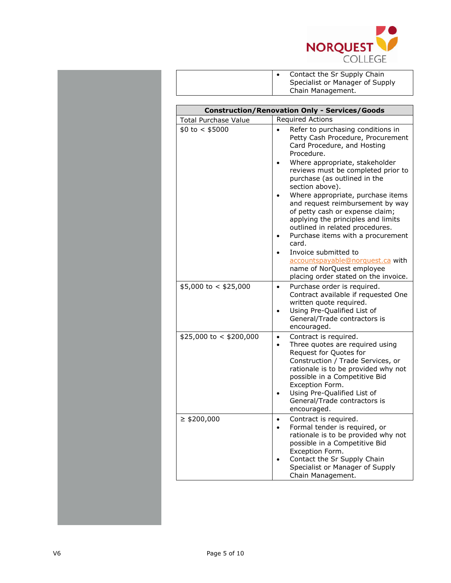

| Contact the Sr Supply Chain<br>Specialist or Manager of Supply |
|----------------------------------------------------------------|
| Chain Management.                                              |

| <b>Construction/Renovation Only - Services/Goods</b> |                                                                                                                                                                                                                                                                                                                                                                                                                                                                          |  |
|------------------------------------------------------|--------------------------------------------------------------------------------------------------------------------------------------------------------------------------------------------------------------------------------------------------------------------------------------------------------------------------------------------------------------------------------------------------------------------------------------------------------------------------|--|
| <b>Total Purchase Value</b>                          | <b>Required Actions</b>                                                                                                                                                                                                                                                                                                                                                                                                                                                  |  |
| \$0 to < \$5000                                      | Refer to purchasing conditions in<br>Petty Cash Procedure, Procurement<br>Card Procedure, and Hosting<br>Procedure.<br>Where appropriate, stakeholder<br>reviews must be completed prior to<br>purchase (as outlined in the<br>section above).<br>Where appropriate, purchase items<br>and request reimbursement by way<br>of petty cash or expense claim;<br>applying the principles and limits<br>outlined in related procedures.<br>Purchase items with a procurement |  |
|                                                      | card.<br>Invoice submitted to<br>accountspayable@norquest.ca with<br>name of NorQuest employee<br>placing order stated on the invoice.                                                                                                                                                                                                                                                                                                                                   |  |
| $$5,000$ to < \$25,000                               | Purchase order is required.<br>$\bullet$<br>Contract available if requested One<br>written quote required.<br>Using Pre-Qualified List of<br>General/Trade contractors is<br>encouraged.                                                                                                                                                                                                                                                                                 |  |
| $$25,000$ to < \$200,000                             | Contract is required.<br>$\bullet$<br>Three quotes are required using<br>$\bullet$<br>Request for Quotes for<br>Construction / Trade Services, or<br>rationale is to be provided why not<br>possible in a Competitive Bid<br>Exception Form.<br>Using Pre-Qualified List of<br>General/Trade contractors is<br>encouraged.                                                                                                                                               |  |
| $\geq$ \$200,000                                     | Contract is required.<br>Formal tender is required, or<br>rationale is to be provided why not<br>possible in a Competitive Bid<br>Exception Form.<br>Contact the Sr Supply Chain<br>Specialist or Manager of Supply<br>Chain Management.                                                                                                                                                                                                                                 |  |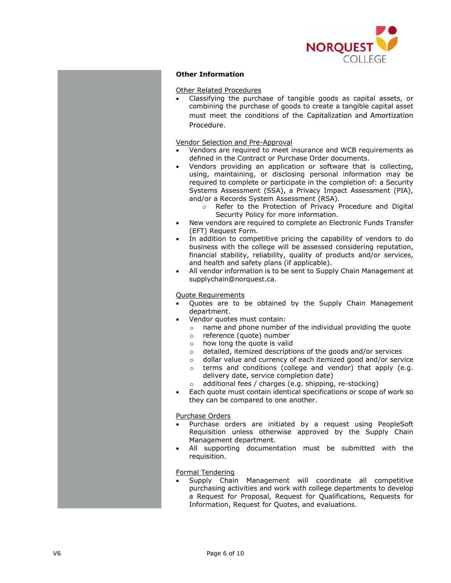

# **Other Information**

#### Other Related Procedures

 Classifying the purchase of tangible goods as capital assets, or combining the purchase of goods to create a tangible capital asset must meet the conditions of the Capitalization and Amortization Procedure.

#### Vendor Selection and Pre-Approval

- Vendors are required to meet insurance and WCB requirements as defined in the Contract or Purchase Order documents.
- Vendors providing an application or software that is collecting, using, maintaining, or disclosing personal information may be required to complete or participate in the completion of: a Security Systems Assessment (SSA), a Privacy Impact Assessment (PIA), and/or a Records System Assessment (RSA).
	- o Refer to the Protection of Privacy Procedure and Digital Security Policy for more information.
- New vendors are required to complete an Electronic Funds Transfer (EFT) Request Form.
- In addition to competitive pricing the capability of vendors to do business with the college will be assessed considering reputation, financial stability, reliability, quality of products and/or services, and health and safety plans (if applicable).
- All vendor information is to be sent to Supply Chain Management at supplychain@norquest.ca.

#### Quote Requirements

- Quotes are to be obtained by the Supply Chain Management department.
- Vendor quotes must contain:
	- o name and phone number of the individual providing the quote
	- o reference (quote) number
	- o how long the quote is valid
	- o detailed, itemized descriptions of the goods and/or services
	- o dollar value and currency of each itemized good and/or service
	- o terms and conditions (college and vendor) that apply (e.g. delivery date, service completion date)
	- o additional fees / charges (e.g. shipping, re-stocking)
- Each quote must contain identical specifications or scope of work so they can be compared to one another.

#### Purchase Orders

- Purchase orders are initiated by a request using PeopleSoft Requisition unless otherwise approved by the Supply Chain Management department.
- All supporting documentation must be submitted with the requisition.

#### Formal Tendering

 Supply Chain Management will coordinate all competitive purchasing activities and work with college departments to develop a Request for Proposal, Request for Qualifications, Requests for Information, Request for Quotes, and evaluations.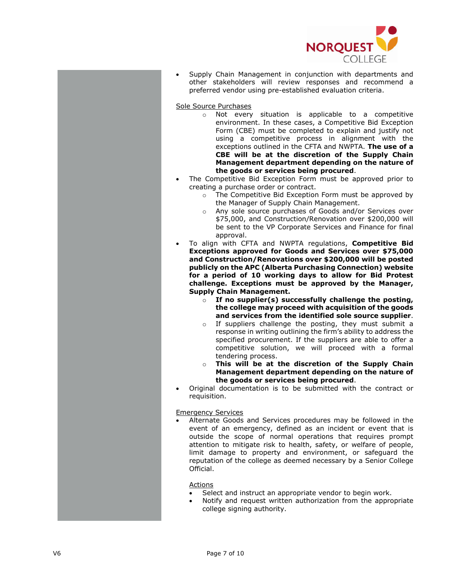

 Supply Chain Management in conjunction with departments and other stakeholders will review responses and recommend a preferred vendor using pre -established evaluation criteria .

Sole Source Purchases

- o Not every situation is applicable to a competitive environment. In these cases, a Competitive Bid Exception Form (CBE) must be completed to explain and justify not using a competitive process in alignment with the exceptions outlined in the CFTA and NWPTA . **The use of a CBE will be at the discretion of the Supply Chain Management department depending on the nature of the goods or services being procured** .
- The Competitive Bid Exception Form must be approved prior to creating a purchase order or contract.
	- o The Competitive Bid Exception Form must be approved by the Manager of Supply Chain Management .
	- o Any sole source purchases of Goods and/or Services over \$75,000, and Construction/Renovation over \$200,000 will be sent to the VP Corporate Services and Finance for final approval.
- To align with CFTA and NWPTA regulations, **Competitive Bid Exceptions approved for Goods and Services over \$75,000 and Construction/Renovations over \$200,00 0 will be posted publicly on the APC (Alberta Purchasing Connection) website for a period of 10 working days to allow for Bid Protest challenge. Exceptions must be approved by the Manager, Supply Chain Management .**
	- o **If no supplier(s) successfully challenge the posting , the college may proceed with acquisition of the goods and services from the identified sole source supplier** .
	- o If suppliers challenge the posting, they must submit a response in writing outlining the firm's ability to address the specified procurement. If the suppliers are able to offer a competitive solution, we will proceed with a formal tendering process.
	- o **This will be at the discretion of the Supply Chain Management department depending on the nature of the goods or services being procured** .
- Original documentation is to be submitted with the contract or requisition.

Emergency Services

 Alternate Goods and Services procedures may be followed in the event of an emergency, defined as an incident or event that is outside the scope of normal operations that requires prompt attention to mitigate risk to health, safety, or welfare of people, limit damage to property and environment, or safeguard the reputation of the college as deemed necessary by a Senior College Official .

#### Actions

- Select and instruct an appropriate vendor to begin work.
- Notify and request written authorization from the appropriate college signing authority.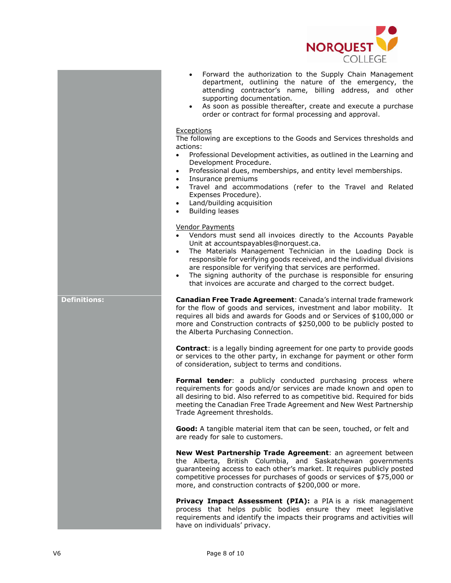

- Forward the authorization to the Supply Chain Management department, outlining the nature of the emergency, the attending contractor's name, billing address, and other supporting documentation.
- As soon as possible thereafter, create and execute a purchase order or contract for formal processing and approval.

#### **Exceptions**

The following are exceptions to the Goods and Services thresholds and actions:

- Professional Development activities, as outlined in the Learning and Development Procedure.
- Professional dues, memberships, and entity level memberships.
- Insurance premiums
- Travel and accommodations (refer to the Travel and Related Expenses Procedure).
- Land/building acquisition
- Building leases

#### Vendor Payments

- Vendors must send all invoices directly to the Accounts Payable Unit at accountspayables@norquest.ca.
- The Materials Management Technician in the Loading Dock is responsible for verifying goods received, and the individual divisions are responsible for verifying that services are performed.
- The signing authority of the purchase is responsible for ensuring that invoices are accurate and charged to the correct budget.

**Definitions: Canadian Free Trade Agreement**: Canada's internal trade framework for the flow of goods and services, investment and labor mobility. It requires all bids and awards for Goods and or Services of \$100,000 or more and Construction contracts of \$250,000 to be publicly posted to the Alberta Purchasing Connection.

> **Contract**: is a legally binding agreement for one party to provide goods or services to the other party, in exchange for payment or other form of consideration, subject to terms and conditions.

> **Formal tender:** a publicly conducted purchasing process where requirements for goods and/or services are made known and open to all desiring to bid. Also referred to as competitive bid. Required for bids meeting the Canadian Free Trade Agreement and New West Partnership Trade Agreement thresholds.

**Good:** A tangible material item that can be seen, touched, or felt and are ready for sale to customers.

**New West Partnership Trade Agreement**: an agreement between the Alberta, British Columbia, and Saskatchewan governments guaranteeing access to each other's market. It requires publicly posted competitive processes for purchases of goods or services of \$75,000 or more, and construction contracts of \$200,000 or more.

**Privacy Impact Assessment (PIA):** a PIA is a risk management process that helps public bodies ensure they meet legislative requirements and identify the impacts their programs and activities will have on individuals' privacy.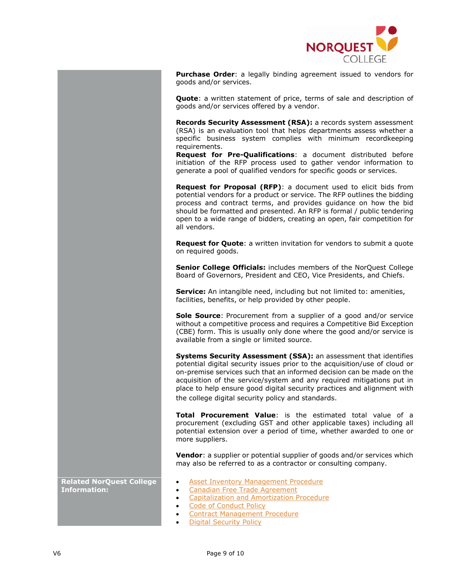

**Purchase Order**: a legally binding agreement issued to vendors for goods and/or services.

**Quote**: a written statement of price, terms of sale and description of goods and/or services offered by a vendor.

**Records Security Assessment (RSA):** a records system assessment (RSA) is an evaluation tool that helps departments assess whether a specific business system complies with minimum recordkeeping requirements.

**Request for Pre-Qualifications**: a document distributed before initiation of the RFP process used to gather vendor information to generate a pool of qualified vendors for specific goods or services.

**Request for Proposal (RFP)**: a document used to elicit bids from potential vendors for a product or service. The RFP outlines the bidding process and contract terms, and provides guidance on how the bid should be formatted and presented. An RFP is formal / public tendering open to a wide range of bidders, creating an open, fair competition for all vendors.

**Request for Quote**: a written invitation for vendors to submit a quote on required goods.

**Senior College Officials:** includes members of the NorQuest College Board of Governors, President and CEO, Vice Presidents, and Chiefs.

**Service:** An intangible need, including but not limited to: amenities, facilities, benefits, or help provided by other people.

**Sole Source**: Procurement from a supplier of a good and/or service without a competitive process and requires a Competitive Bid Exception (CBE) form. This is usually only done where the good and/or service is available from a single or limited source.

**Systems Security Assessment (SSA):** an assessment that identifies potential digital security issues prior to the acquisition/use of cloud or on-premise services such that an informed decision can be made on the acquisition of the service/system and any required mitigations put in place to help ensure good digital security practices and alignment with the college digital security policy and standards.

**Total Procurement Value**: is the estimated total value of a procurement (excluding GST and other applicable taxes) including all potential extension over a period of time, whether awarded to one or more suppliers.

**Vendor**: a supplier or potential supplier of goods and/or services which may also be referred to as a contractor or consulting company.

- Asset Inventory Management Procedure
- Canadian Free Trade Agreement
- Capitalization and Amortization Procedure
- Code of Conduct Policy
- Contract Management Procedure
- Digital Security Policy

**Related NorQuest College Information:**